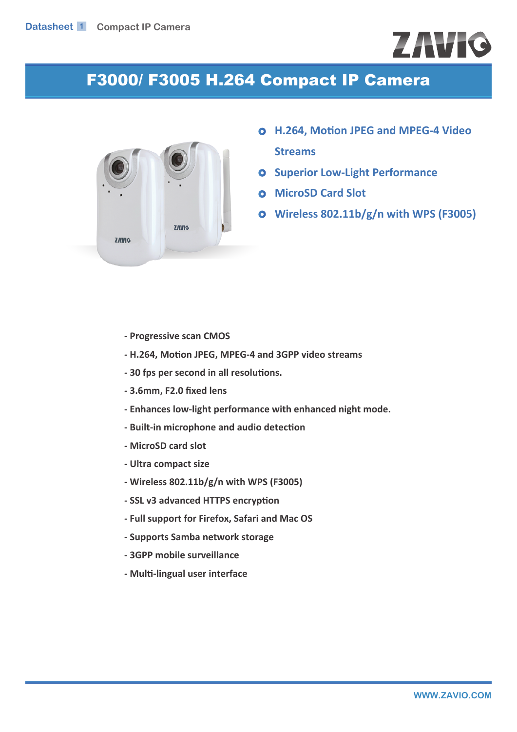## **ZAVIC**

## F3000/ F3005 H.264 Compact IP Camera



- **H.264, Motion JPEG and MPEG-4 Video Streams**
- **O** Superior Low-Light Performance
- **MicroSD Card Slot**
- **Wireless 802.11b/g/n with WPS (F3005)**

- **Progressive scan CMOS**
- **H.264, Motion JPEG, MPEG-4 and 3GPP video streams**
- **30 fps per second in all resolutions.**
- **3.6mm, F2.0 fixed lens**
- **Enhances low-light performance with enhanced night mode.**
- **Built-in microphone and audio detection**
- **MicroSD card slot**
- **Ultra compact size**
- **Wireless 802.11b/g/n with WPS (F3005)**
- **SSL v3 advanced HTTPS encryption**
- **Full support for Firefox, Safari and Mac OS**
- **Supports Samba network storage**
- **3GPP mobile surveillance**
- **Multi-lingual user interface**